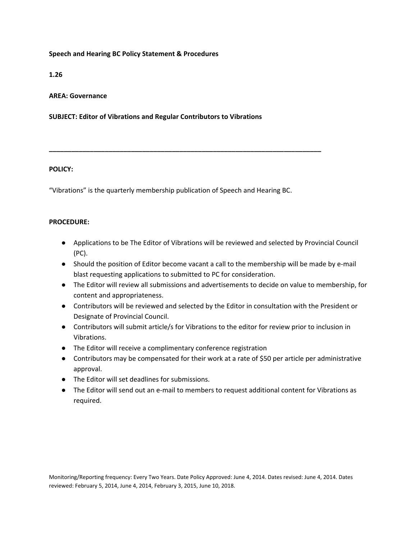# **Speech and Hearing BC Policy Statement & Procedures**

# **1.26**

## **AREA: Governance**

### **SUBJECT: Editor of Vibrations and Regular Contributors to Vibrations**

### **POLICY:**

"Vibrations" is the quarterly membership publication of Speech and Hearing BC.

**\_\_\_\_\_\_\_\_\_\_\_\_\_\_\_\_\_\_\_\_\_\_\_\_\_\_\_\_\_\_\_\_\_\_\_\_\_\_\_\_\_\_\_\_\_\_\_\_\_\_\_\_\_\_\_\_\_\_\_\_\_\_\_\_\_\_\_\_\_\_\_\_\_**

### **PROCEDURE:**

- Applications to be The Editor of Vibrations will be reviewed and selected by Provincial Council (PC).
- Should the position of Editor become vacant a call to the membership will be made by e-mail blast requesting applications to submitted to PC for consideration.
- The Editor will review all submissions and advertisements to decide on value to membership, for content and appropriateness.
- Contributors will be reviewed and selected by the Editor in consultation with the President or Designate of Provincial Council.
- Contributors will submit article/s for Vibrations to the editor for review prior to inclusion in Vibrations.
- The Editor will receive a complimentary conference registration
- Contributors may be compensated for their work at a rate of \$50 per article per administrative approval.
- The Editor will set deadlines for submissions.
- The Editor will send out an e-mail to members to request additional content for Vibrations as required.